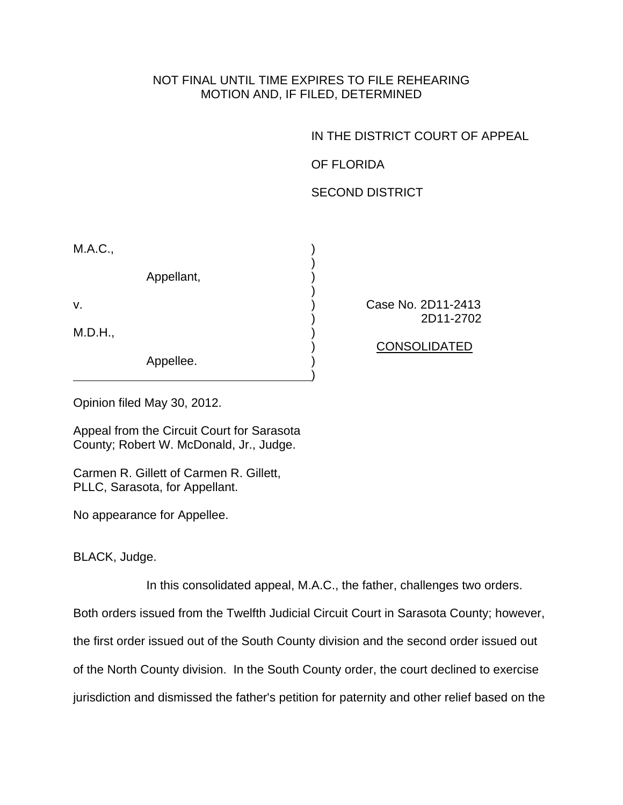## NOT FINAL UNTIL TIME EXPIRES TO FILE REHEARING MOTION AND, IF FILED, DETERMINED

IN THE DISTRICT COURT OF APPEAL

OF FLORIDA

SECOND DISTRICT

| M.A.C., |            |  |
|---------|------------|--|
|         | Appellant, |  |
| ٧.      |            |  |
| M.D.H., |            |  |
|         | Appellee.  |  |

Case No. 2D11-2413 ) 2D11-2702

) CONSOLIDATED

Opinion filed May 30, 2012.

Appeal from the Circuit Court for Sarasota County; Robert W. McDonald, Jr., Judge.

Carmen R. Gillett of Carmen R. Gillett, PLLC, Sarasota, for Appellant.

No appearance for Appellee.

BLACK, Judge.

In this consolidated appeal, M.A.C., the father, challenges two orders.

Both orders issued from the Twelfth Judicial Circuit Court in Sarasota County; however,

the first order issued out of the South County division and the second order issued out

of the North County division. In the South County order, the court declined to exercise

jurisdiction and dismissed the father's petition for paternity and other relief based on the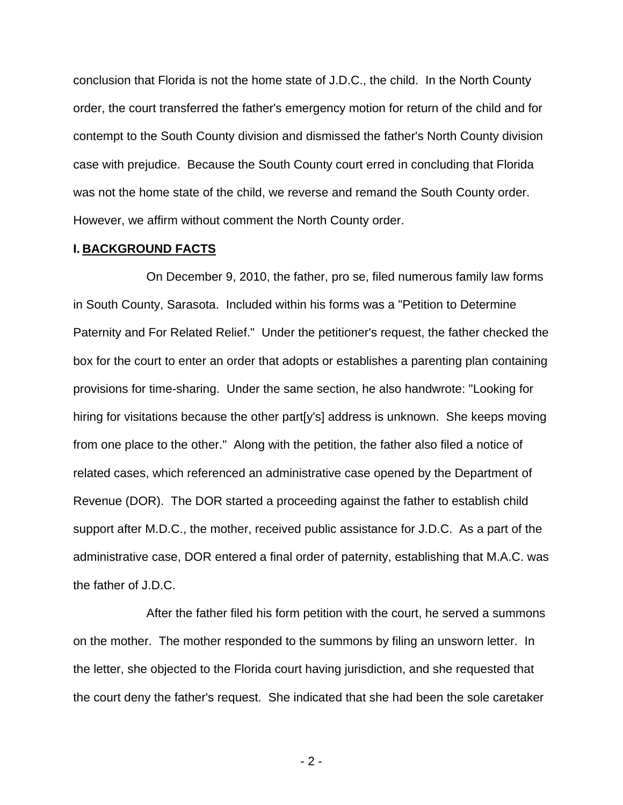conclusion that Florida is not the home state of J.D.C., the child. In the North County order, the court transferred the father's emergency motion for return of the child and for contempt to the South County division and dismissed the father's North County division case with prejudice. Because the South County court erred in concluding that Florida was not the home state of the child, we reverse and remand the South County order. However, we affirm without comment the North County order.

## **I. BACKGROUND FACTS**

On December 9, 2010, the father, pro se, filed numerous family law forms in South County, Sarasota. Included within his forms was a "Petition to Determine Paternity and For Related Relief." Under the petitioner's request, the father checked the box for the court to enter an order that adopts or establishes a parenting plan containing provisions for time-sharing. Under the same section, he also handwrote: "Looking for hiring for visitations because the other part[y's] address is unknown. She keeps moving from one place to the other." Along with the petition, the father also filed a notice of related cases, which referenced an administrative case opened by the Department of Revenue (DOR). The DOR started a proceeding against the father to establish child support after M.D.C., the mother, received public assistance for J.D.C. As a part of the administrative case, DOR entered a final order of paternity, establishing that M.A.C. was the father of J.D.C.

 After the father filed his form petition with the court, he served a summons on the mother. The mother responded to the summons by filing an unsworn letter. In the letter, she objected to the Florida court having jurisdiction, and she requested that the court deny the father's request. She indicated that she had been the sole caretaker

- 2 -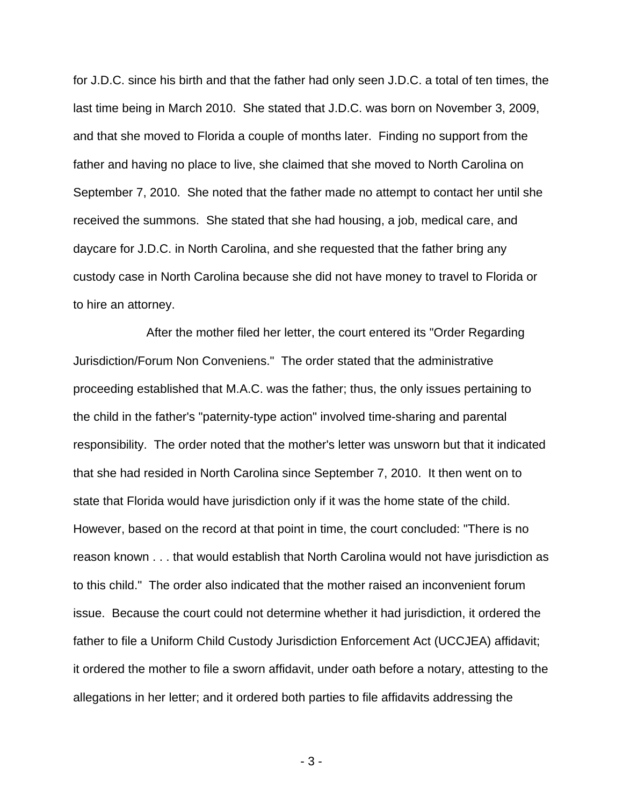for J.D.C. since his birth and that the father had only seen J.D.C. a total of ten times, the last time being in March 2010. She stated that J.D.C. was born on November 3, 2009, and that she moved to Florida a couple of months later. Finding no support from the father and having no place to live, she claimed that she moved to North Carolina on September 7, 2010. She noted that the father made no attempt to contact her until she received the summons. She stated that she had housing, a job, medical care, and daycare for J.D.C. in North Carolina, and she requested that the father bring any custody case in North Carolina because she did not have money to travel to Florida or to hire an attorney.

 After the mother filed her letter, the court entered its "Order Regarding Jurisdiction/Forum Non Conveniens." The order stated that the administrative proceeding established that M.A.C. was the father; thus, the only issues pertaining to the child in the father's "paternity-type action" involved time-sharing and parental responsibility. The order noted that the mother's letter was unsworn but that it indicated that she had resided in North Carolina since September 7, 2010. It then went on to state that Florida would have jurisdiction only if it was the home state of the child. However, based on the record at that point in time, the court concluded: "There is no reason known . . . that would establish that North Carolina would not have jurisdiction as to this child." The order also indicated that the mother raised an inconvenient forum issue. Because the court could not determine whether it had jurisdiction, it ordered the father to file a Uniform Child Custody Jurisdiction Enforcement Act (UCCJEA) affidavit; it ordered the mother to file a sworn affidavit, under oath before a notary, attesting to the allegations in her letter; and it ordered both parties to file affidavits addressing the

- 3 -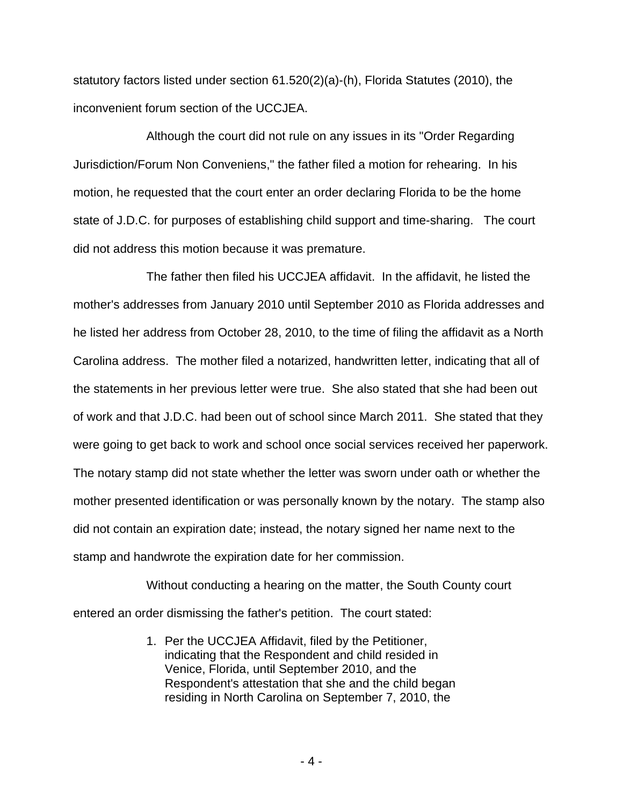statutory factors listed under section 61.520(2)(a)-(h), Florida Statutes (2010), the inconvenient forum section of the UCCJEA.

Although the court did not rule on any issues in its "Order Regarding Jurisdiction/Forum Non Conveniens," the father filed a motion for rehearing. In his motion, he requested that the court enter an order declaring Florida to be the home state of J.D.C. for purposes of establishing child support and time-sharing. The court did not address this motion because it was premature.

The father then filed his UCCJEA affidavit. In the affidavit, he listed the mother's addresses from January 2010 until September 2010 as Florida addresses and he listed her address from October 28, 2010, to the time of filing the affidavit as a North Carolina address. The mother filed a notarized, handwritten letter, indicating that all of the statements in her previous letter were true. She also stated that she had been out of work and that J.D.C. had been out of school since March 2011. She stated that they were going to get back to work and school once social services received her paperwork. The notary stamp did not state whether the letter was sworn under oath or whether the mother presented identification or was personally known by the notary. The stamp also did not contain an expiration date; instead, the notary signed her name next to the stamp and handwrote the expiration date for her commission.

Without conducting a hearing on the matter, the South County court entered an order dismissing the father's petition. The court stated:

> 1. Per the UCCJEA Affidavit, filed by the Petitioner, indicating that the Respondent and child resided in Venice, Florida, until September 2010, and the Respondent's attestation that she and the child began residing in North Carolina on September 7, 2010, the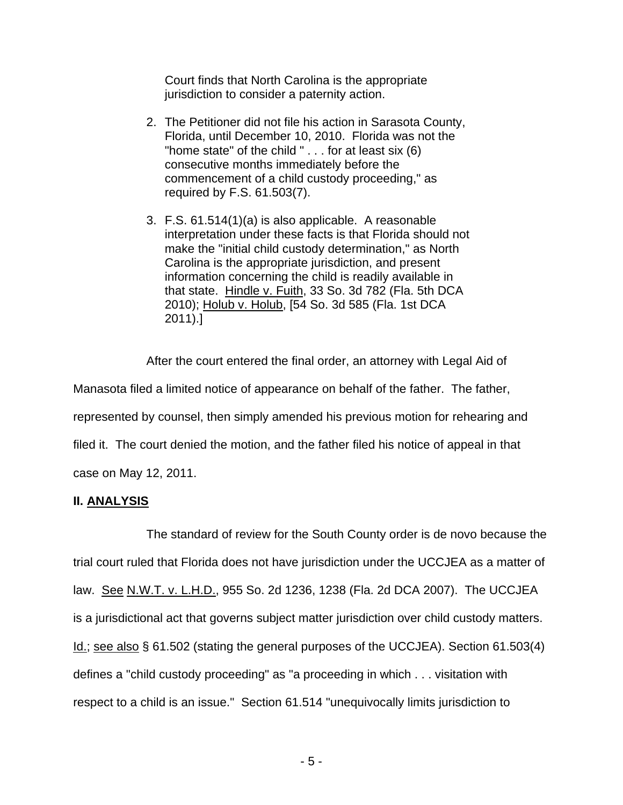Court finds that North Carolina is the appropriate jurisdiction to consider a paternity action.

- 2. The Petitioner did not file his action in Sarasota County, Florida, until December 10, 2010. Florida was not the "home state" of the child " . . . for at least six (6) consecutive months immediately before the commencement of a child custody proceeding," as required by F.S. 61.503(7).
- 3. F.S. 61.514(1)(a) is also applicable. A reasonable interpretation under these facts is that Florida should not make the "initial child custody determination," as North Carolina is the appropriate jurisdiction, and present information concerning the child is readily available in that state. Hindle v. Fuith, 33 So. 3d 782 (Fla. 5th DCA 2010); Holub v. Holub, [54 So. 3d 585 (Fla. 1st DCA 2011).]

After the court entered the final order, an attorney with Legal Aid of

Manasota filed a limited notice of appearance on behalf of the father. The father, represented by counsel, then simply amended his previous motion for rehearing and filed it. The court denied the motion, and the father filed his notice of appeal in that case on May 12, 2011.

## **II. ANALYSIS**

 The standard of review for the South County order is de novo because the trial court ruled that Florida does not have jurisdiction under the UCCJEA as a matter of law. See N.W.T. v. L.H.D., 955 So. 2d 1236, 1238 (Fla. 2d DCA 2007). The UCCJEA is a jurisdictional act that governs subject matter jurisdiction over child custody matters. Id.; see also § 61.502 (stating the general purposes of the UCCJEA). Section 61.503(4) defines a "child custody proceeding" as "a proceeding in which . . . visitation with respect to a child is an issue." Section 61.514 "unequivocally limits jurisdiction to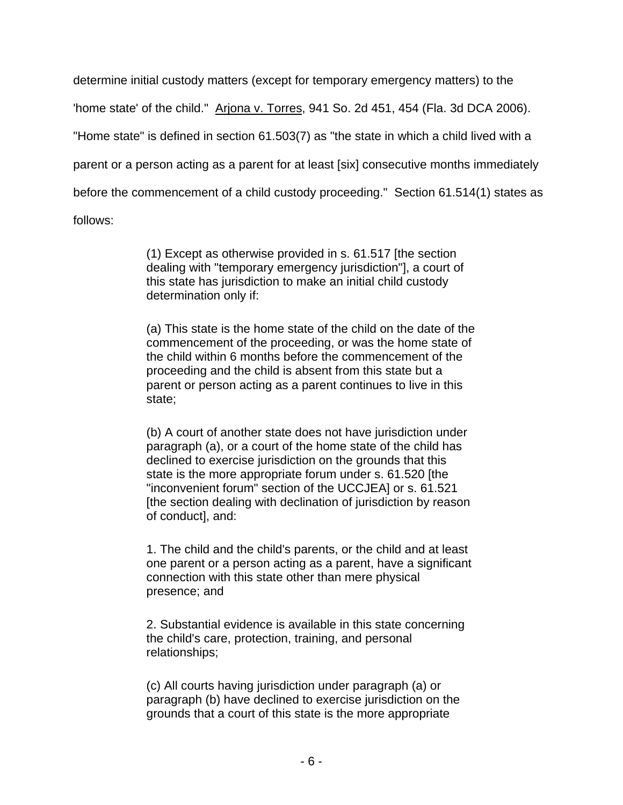determine initial custody matters (except for temporary emergency matters) to the 'home state' of the child." Arjona v. Torres, 941 So. 2d 451, 454 (Fla. 3d DCA 2006). "Home state" is defined in section 61.503(7) as "the state in which a child lived with a parent or a person acting as a parent for at least [six] consecutive months immediately before the commencement of a child custody proceeding." Section 61.514(1) states as follows:

> (1) Except as otherwise provided in s. 61.517 [the section dealing with "temporary emergency jurisdiction"], a court of this state has jurisdiction to make an initial child custody determination only if:

(a) This state is the home state of the child on the date of the commencement of the proceeding, or was the home state of the child within 6 months before the commencement of the proceeding and the child is absent from this state but a parent or person acting as a parent continues to live in this state;

(b) A court of another state does not have jurisdiction under paragraph (a), or a court of the home state of the child has declined to exercise jurisdiction on the grounds that this state is the more appropriate forum under s. 61.520 [the "inconvenient forum" section of the UCCJEA] or s. 61.521 [the section dealing with declination of jurisdiction by reason of conduct], and:

1. The child and the child's parents, or the child and at least one parent or a person acting as a parent, have a significant connection with this state other than mere physical presence; and

2. Substantial evidence is available in this state concerning the child's care, protection, training, and personal relationships;

(c) All courts having jurisdiction under paragraph (a) or paragraph (b) have declined to exercise jurisdiction on the grounds that a court of this state is the more appropriate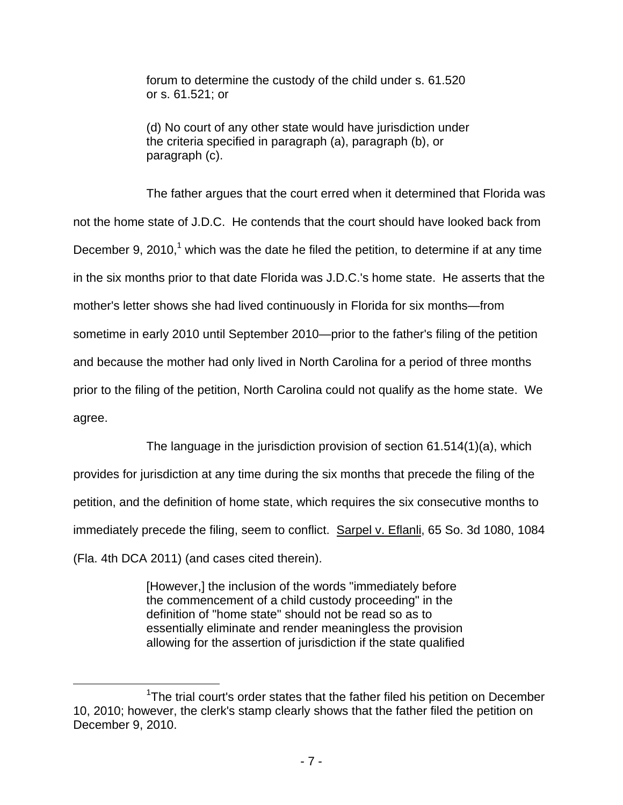forum to determine the custody of the child under s. 61.520 or s. 61.521; or

(d) No court of any other state would have jurisdiction under the criteria specified in paragraph (a), paragraph (b), or paragraph (c).

 The father argues that the court erred when it determined that Florida was not the home state of J.D.C. He contends that the court should have looked back from December 9, 2010,<sup>1</sup> which was the date he filed the petition, to determine if at any time in the six months prior to that date Florida was J.D.C.'s home state. He asserts that the mother's letter shows she had lived continuously in Florida for six months—from sometime in early 2010 until September 2010—prior to the father's filing of the petition and because the mother had only lived in North Carolina for a period of three months prior to the filing of the petition, North Carolina could not qualify as the home state. We agree.

The language in the jurisdiction provision of section 61.514(1)(a), which

provides for jurisdiction at any time during the six months that precede the filing of the petition, and the definition of home state, which requires the six consecutive months to immediately precede the filing, seem to conflict. Sarpel v. Eflanli, 65 So. 3d 1080, 1084 (Fla. 4th DCA 2011) (and cases cited therein).

> [However,] the inclusion of the words "immediately before the commencement of a child custody proceeding" in the definition of "home state" should not be read so as to essentially eliminate and render meaningless the provision allowing for the assertion of jurisdiction if the state qualified

 $\begin{array}{c|c}\n\hline\n\text{1}\n\end{array}$ <sup>1</sup>The trial court's order states that the father filed his petition on December 10, 2010; however, the clerk's stamp clearly shows that the father filed the petition on December 9, 2010.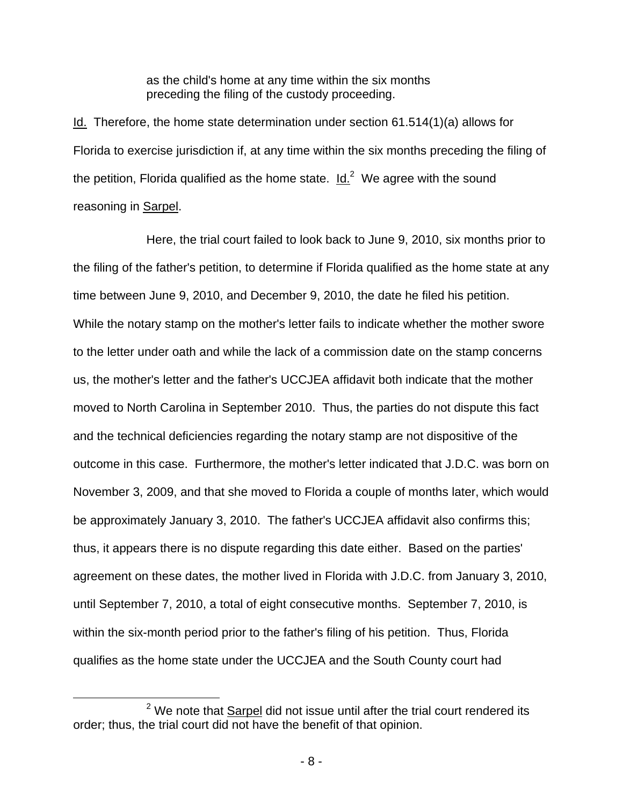as the child's home at any time within the six months preceding the filing of the custody proceeding.

Id. Therefore, the home state determination under section 61.514(1)(a) allows for Florida to exercise jurisdiction if, at any time within the six months preceding the filing of the petition, Florida qualified as the home state.  $Id.<sup>2</sup>$  We agree with the sound reasoning in Sarpel.

 Here, the trial court failed to look back to June 9, 2010, six months prior to the filing of the father's petition, to determine if Florida qualified as the home state at any time between June 9, 2010, and December 9, 2010, the date he filed his petition. While the notary stamp on the mother's letter fails to indicate whether the mother swore to the letter under oath and while the lack of a commission date on the stamp concerns us, the mother's letter and the father's UCCJEA affidavit both indicate that the mother moved to North Carolina in September 2010. Thus, the parties do not dispute this fact and the technical deficiencies regarding the notary stamp are not dispositive of the outcome in this case. Furthermore, the mother's letter indicated that J.D.C. was born on November 3, 2009, and that she moved to Florida a couple of months later, which would be approximately January 3, 2010. The father's UCCJEA affidavit also confirms this; thus, it appears there is no dispute regarding this date either. Based on the parties' agreement on these dates, the mother lived in Florida with J.D.C. from January 3, 2010, until September 7, 2010, a total of eight consecutive months. September 7, 2010, is within the six-month period prior to the father's filing of his petition. Thus, Florida qualifies as the home state under the UCCJEA and the South County court had

 <sup>2</sup>  $2$  We note that Sarpel did not issue until after the trial court rendered its order; thus, the trial court did not have the benefit of that opinion.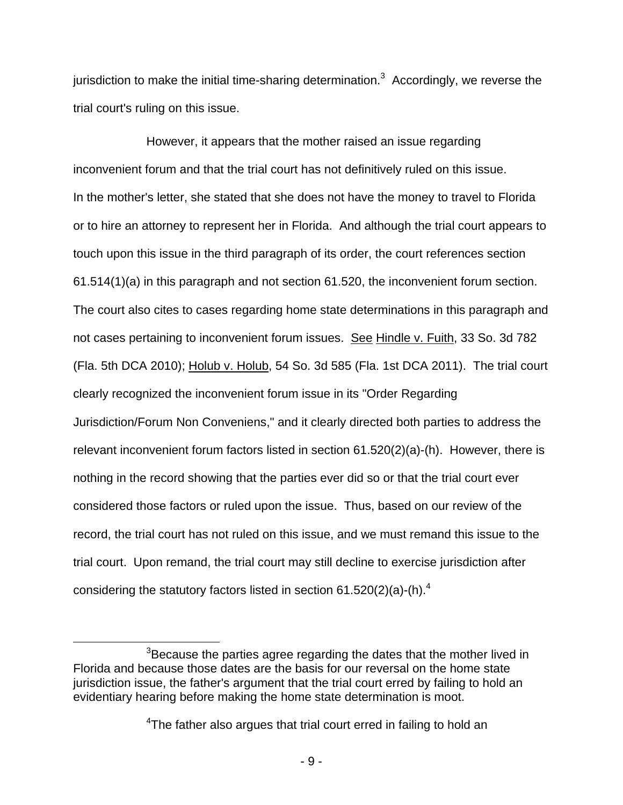jurisdiction to make the initial time-sharing determination.<sup>3</sup> Accordingly, we reverse the trial court's ruling on this issue.

However, it appears that the mother raised an issue regarding inconvenient forum and that the trial court has not definitively ruled on this issue. In the mother's letter, she stated that she does not have the money to travel to Florida or to hire an attorney to represent her in Florida. And although the trial court appears to touch upon this issue in the third paragraph of its order, the court references section 61.514(1)(a) in this paragraph and not section 61.520, the inconvenient forum section. The court also cites to cases regarding home state determinations in this paragraph and not cases pertaining to inconvenient forum issues. See Hindle v. Fuith, 33 So. 3d 782 (Fla. 5th DCA 2010); Holub v. Holub, 54 So. 3d 585 (Fla. 1st DCA 2011). The trial court clearly recognized the inconvenient forum issue in its "Order Regarding Jurisdiction/Forum Non Conveniens," and it clearly directed both parties to address the relevant inconvenient forum factors listed in section 61.520(2)(a)-(h). However, there is nothing in the record showing that the parties ever did so or that the trial court ever considered those factors or ruled upon the issue. Thus, based on our review of the record, the trial court has not ruled on this issue, and we must remand this issue to the trial court. Upon remand, the trial court may still decline to exercise jurisdiction after considering the statutory factors listed in section 61.520(2)(a)-(h).<sup>4</sup>

 $\overline{\phantom{a}}$  3  $3$ Because the parties agree regarding the dates that the mother lived in Florida and because those dates are the basis for our reversal on the home state jurisdiction issue, the father's argument that the trial court erred by failing to hold an evidentiary hearing before making the home state determination is moot.

<sup>&</sup>lt;sup>4</sup>The father also argues that trial court erred in failing to hold an